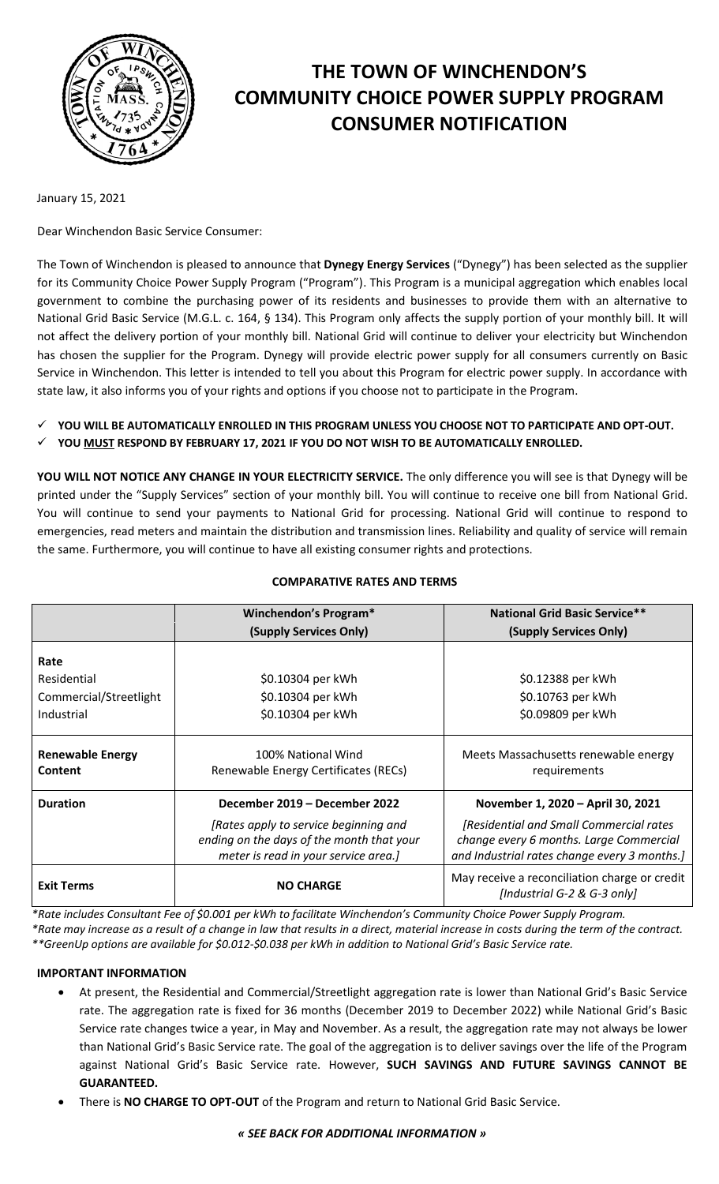

# **THE TOWN OF WINCHENDON'S COMMUNITY CHOICE POWER SUPPLY PROGRAM CONSUMER NOTIFICATION**

January 15, 2021

Dear Winchendon Basic Service Consumer:

The Town of Winchendon is pleased to announce that **Dynegy Energy Services** ("Dynegy") has been selected as the supplier for its Community Choice Power Supply Program ("Program"). This Program is a municipal aggregation which enables local government to combine the purchasing power of its residents and businesses to provide them with an alternative to National Grid Basic Service (M.G.L. c. 164, § 134). This Program only affects the supply portion of your monthly bill. It will not affect the delivery portion of your monthly bill. National Grid will continue to deliver your electricity but Winchendon has chosen the supplier for the Program. Dynegy will provide electric power supply for all consumers currently on Basic Service in Winchendon. This letter is intended to tell you about this Program for electric power supply. In accordance with state law, it also informs you of your rights and options if you choose not to participate in the Program.

**YOU WILL BE AUTOMATICALLY ENROLLED IN THIS PROGRAM UNLESS YOU CHOOSE NOT TO PARTICIPATE AND OPT-OUT.** 

**YOU MUST RESPOND BY FEBRUARY 17, 2021 IF YOU DO NOT WISH TO BE AUTOMATICALLY ENROLLED.**

**YOU WILL NOT NOTICE ANY CHANGE IN YOUR ELECTRICITY SERVICE.** The only difference you will see is that Dynegy will be printed under the "Supply Services" section of your monthly bill. You will continue to receive one bill from National Grid. You will continue to send your payments to National Grid for processing. National Grid will continue to respond to emergencies, read meters and maintain the distribution and transmission lines. Reliability and quality of service will remain the same. Furthermore, you will continue to have all existing consumer rights and protections.

|                                    | Winchendon's Program*                                                                                                      | <b>National Grid Basic Service**</b>                                                                                               |
|------------------------------------|----------------------------------------------------------------------------------------------------------------------------|------------------------------------------------------------------------------------------------------------------------------------|
|                                    | (Supply Services Only)                                                                                                     | (Supply Services Only)                                                                                                             |
| Rate                               |                                                                                                                            |                                                                                                                                    |
| Residential                        | \$0.10304 per kWh                                                                                                          | \$0.12388 per kWh                                                                                                                  |
| Commercial/Streetlight             | \$0.10304 per kWh                                                                                                          | \$0.10763 per kWh                                                                                                                  |
| Industrial                         | \$0.10304 per kWh                                                                                                          | \$0.09809 per kWh                                                                                                                  |
| <b>Renewable Energy</b><br>Content | 100% National Wind<br>Renewable Energy Certificates (RECs)                                                                 | Meets Massachusetts renewable energy<br>requirements                                                                               |
| <b>Duration</b>                    | December 2019 – December 2022                                                                                              | November 1, 2020 - April 30, 2021                                                                                                  |
|                                    | [Rates apply to service beginning and<br>ending on the days of the month that your<br>meter is read in your service area.] | [Residential and Small Commercial rates<br>change every 6 months. Large Commercial<br>and Industrial rates change every 3 months.] |
| <b>Exit Terms</b>                  | <b>NO CHARGE</b>                                                                                                           | May receive a reconciliation charge or credit<br>[Industrial G-2 & G-3 only]                                                       |

# **COMPARATIVE RATES AND TERMS**

*\*Rate includes Consultant Fee of \$0.001 per kWh to facilitate Winchendon's Community Choice Power Supply Program. \*Rate may increase as a result of a change in law that results in a direct, material increase in costs during the term of the contract. \*\*GreenUp options are available for \$0.012-\$0.038 per kWh in addition to National Grid's Basic Service rate.*

# **IMPORTANT INFORMATION**

- At present, the Residential and Commercial/Streetlight aggregation rate is lower than National Grid's Basic Service rate. The aggregation rate is fixed for 36 months (December 2019 to December 2022) while National Grid's Basic Service rate changes twice a year, in May and November. As a result, the aggregation rate may not always be lower than National Grid's Basic Service rate. The goal of the aggregation is to deliver savings over the life of the Program against National Grid's Basic Service rate. However, **SUCH SAVINGS AND FUTURE SAVINGS CANNOT BE GUARANTEED.**
- There is **NO CHARGE TO OPT-OUT** of the Program and return to National Grid Basic Service.

*« SEE BACK FOR ADDITIONAL INFORMATION »*